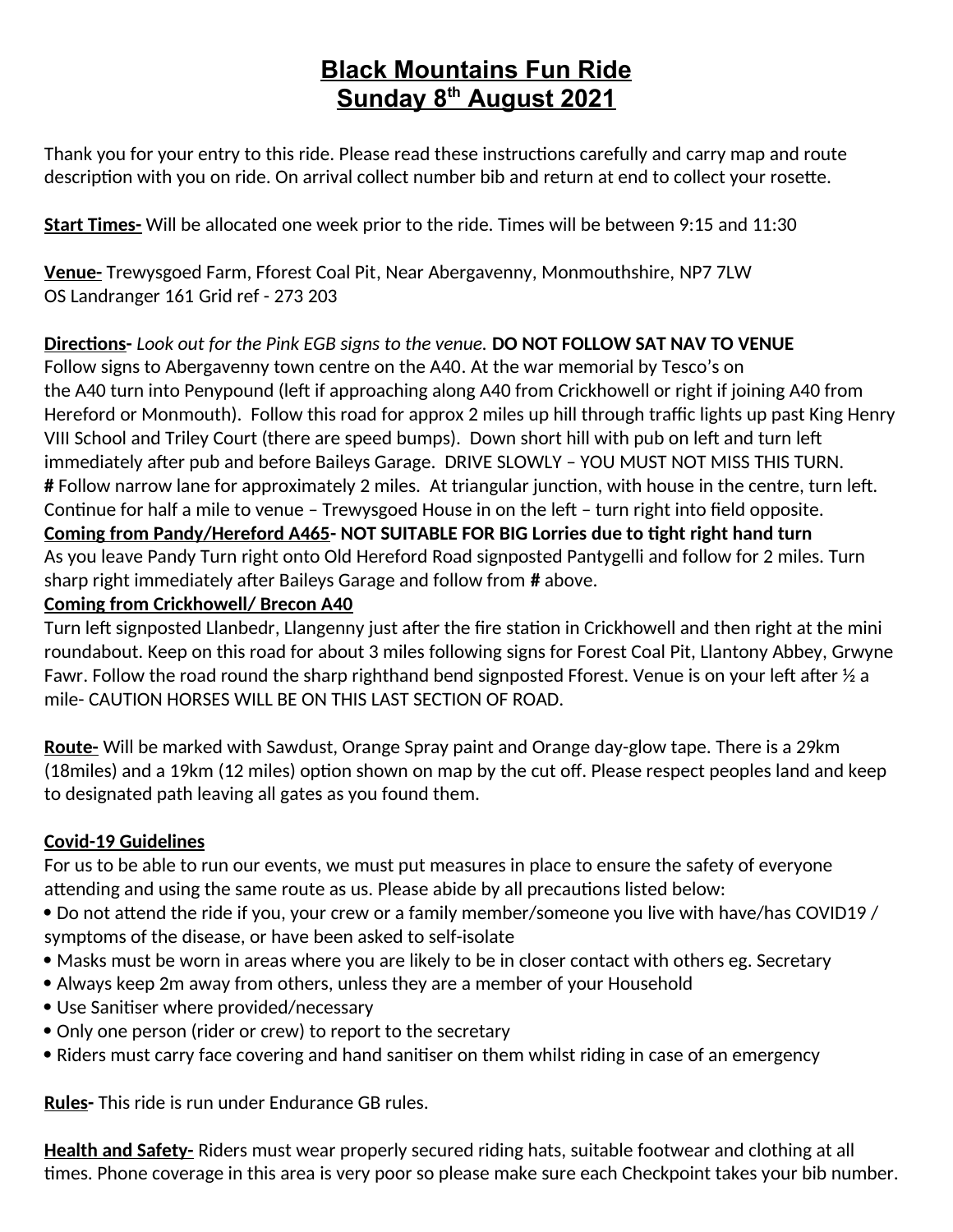## **Black Mountains Fun Ride Sunday 8th August 2021**

Thank you for your entry to this ride. Please read these instructions carefully and carry map and route description with you on ride. On arrival collect number bib and return at end to collect your rosette.

**Start Times-** Will be allocated one week prior to the ride. Times will be between 9:15 and 11:30

**Venue-** Trewysgoed Farm, Fforest Coal Pit, Near Abergavenny, Monmouthshire, NP7 7LW OS Landranger 161 Grid ref - 273 203

**Directions-** *Look out for the Pink EGB signs to the venue.* **DO NOT FOLLOW SAT NAV TO VENUE** Follow signs to Abergavenny town centre on the A40. At the war memorial by Tesco's on the A40 turn into Penypound (left if approaching along A40 from Crickhowell or right if joining A40 from Hereford or Monmouth). Follow this road for approx 2 miles up hill through traffic lights up past King Henry VIII School and Triley Court (there are speed bumps). Down short hill with pub on left and turn left immediately after pub and before Baileys Garage. DRIVE SLOWLY – YOU MUST NOT MISS THIS TURN. **#** Follow narrow lane for approximately 2 miles. At triangular junction, with house in the centre, turn left. Continue for half a mile to venue – Trewysgoed House in on the left – turn right into field opposite. **Coming from Pandy/Hereford A465- NOT SUITABLE FOR BIG Lorries due to tight right hand turn** As you leave Pandy Turn right onto Old Hereford Road signposted Pantygelli and follow for 2 miles. Turn sharp right immediately after Baileys Garage and follow from **#** above.

## **Coming from Crickhowell/ Brecon A40**

Turn left signposted Llanbedr, Llangenny just after the fire station in Crickhowell and then right at the mini roundabout. Keep on this road for about 3 miles following signs for Forest Coal Pit, Llantony Abbey, Grwyne Fawr. Follow the road round the sharp righthand bend signposted Fforest. Venue is on your left after  $\frac{1}{2}$  a mile- CAUTION HORSES WILL BE ON THIS LAST SECTION OF ROAD.

**Route-** Will be marked with Sawdust, Orange Spray paint and Orange day-glow tape. There is a 29km (18miles) and a 19km (12 miles) option shown on map by the cut off. Please respect peoples land and keep to designated path leaving all gates as you found them.

## **Covid-19 Guidelines**

For us to be able to run our events, we must put measures in place to ensure the safety of everyone attending and using the same route as us. Please abide by all precautions listed below:

- Do not attend the ride if you, your crew or a family member/someone you live with have/has COVID19 / symptoms of the disease, or have been asked to self-isolate
- Masks must be worn in areas where you are likely to be in closer contact with others eg. Secretary
- Always keep 2m away from others, unless they are a member of your Household
- Use Sanitiser where provided/necessary
- Only one person (rider or crew) to report to the secretary
- Riders must carry face covering and hand sanitiser on them whilst riding in case of an emergency

**Rules-** This ride is run under Endurance GB rules.

**Health and Safety-** Riders must wear properly secured riding hats, suitable footwear and clothing at all times. Phone coverage in this area is very poor so please make sure each Checkpoint takes your bib number.